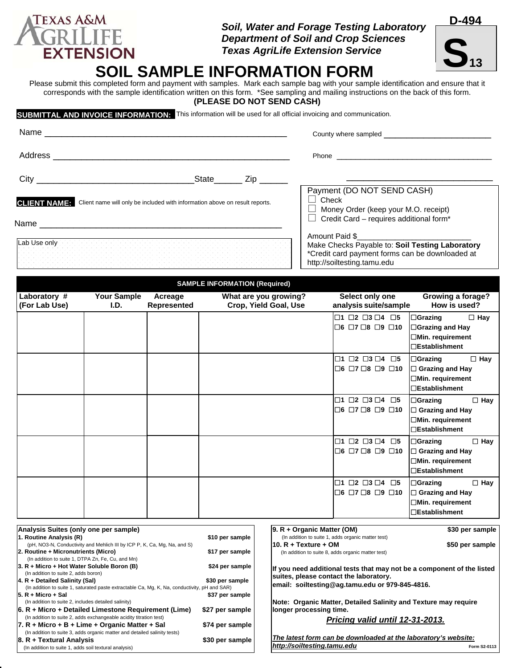# EXTENSION Texas AgriLife Extension Servic<br>SOIL SAMPLE INFORMATION FORM

Please submit this completed form and payment with samples. Mark each sample bag with your sample identification and ensure that it corresponds with the sample identification written on this form. \*See sampling and mailing instructions on the back of this form. **(PLEASE DO NOT SEND CASH)** 

**SUBMITTAL AND INVOICE INFORMATION:** This information will be used for all official invoicing and communication.

| Name                                    |                                                                             | County where sampled                                                                                                                                |  |  |
|-----------------------------------------|-----------------------------------------------------------------------------|-----------------------------------------------------------------------------------------------------------------------------------------------------|--|--|
| Address                                 |                                                                             |                                                                                                                                                     |  |  |
| <b>City City</b>                        |                                                                             |                                                                                                                                                     |  |  |
| <b>CLIENT NAME:</b><br>Name ___________ | Client name will only be included with information above on result reports. | Payment (DO NOT SEND CASH)<br>$\Box$ Check<br>$\Box$ Money Order (keep your M.O. receipt)<br>$\Box$ Credit Card – requires additional form*         |  |  |
| Lab Use only                            |                                                                             | Amount Paid \$<br>Make Checks Payable to: Soil Testing Laboratory<br>*Credit card payment forms can be downloaded at<br>http://soiltesting.tamu.edu |  |  |

 **SAMPLE INFORMATION (Required)** 

| Laboratory #<br>(For Lab Use)                                                                                                                                                                                                                                                                        | <b>Your Sample</b><br>I.D. | Acreage<br><b>Represented</b>                         |                             | What are you growing?<br>Crop, Yield Goal, Use                                                                                                                      | Select only one<br>analysis suite/sample                                                      | Growing a forage?<br>How is used?                                                                         |
|------------------------------------------------------------------------------------------------------------------------------------------------------------------------------------------------------------------------------------------------------------------------------------------------------|----------------------------|-------------------------------------------------------|-----------------------------|---------------------------------------------------------------------------------------------------------------------------------------------------------------------|-----------------------------------------------------------------------------------------------|-----------------------------------------------------------------------------------------------------------|
|                                                                                                                                                                                                                                                                                                      |                            |                                                       |                             |                                                                                                                                                                     | $\Box$ 1 $\Box$ 2 $\Box$ 3 $\Box$ 4 $\Box$ 5<br>$\Box$ 6 $\Box$ 7 $\Box$ 8 $\Box$ 9 $\Box$ 10 | $\Box$ Grazing<br>$\Box$ Hay<br><b>□Grazing and Hay</b><br>□Min. requirement<br>□Establishment            |
|                                                                                                                                                                                                                                                                                                      |                            |                                                       |                             |                                                                                                                                                                     | $\Box$ 1 $\Box$ 2 $\Box$ 3 $\Box$ 4 $\Box$ 5<br>$\Box$ 6 $\Box$ 7 $\Box$ 8 $\Box$ 9 $\Box$ 10 | $\Box$ Hay<br>$\Box$ Grazing<br>□ Grazing and Hay<br><b>□Min. requirement</b><br><b>DEstablishment</b>    |
|                                                                                                                                                                                                                                                                                                      |                            |                                                       |                             |                                                                                                                                                                     | $\Box$ 1 $\Box$ 2 $\Box$ 3 $\Box$ 4 $\Box$ 5<br>$\Box$ 6 $\Box$ 7 $\Box$ 8 $\Box$ 9 $\Box$ 10 | $\Box$ Hay<br>$\Box$ Grazing<br>$\Box$ Grazing and Hay<br>$\Box$ Min. requirement<br>$\Box$ Establishment |
|                                                                                                                                                                                                                                                                                                      |                            |                                                       |                             |                                                                                                                                                                     | $\Box$ 1 $\Box$ 2 $\Box$ 3 $\Box$ 4 $\Box$ 5<br>$\Box$ 6 $\Box$ 7 $\Box$ 8 $\Box$ 9 $\Box$ 10 | $\Box$ Hay<br> □Grazing<br>$\Box$ Grazing and Hay<br><b>□Min. requirement</b><br><b>□Establishment</b>    |
|                                                                                                                                                                                                                                                                                                      |                            |                                                       |                             |                                                                                                                                                                     | $\Box$ 1 $\Box$ 2 $\Box$ 3 $\Box$ 4 $\Box$ 5<br>$\Box$ 6 $\Box$ 7 $\Box$ 8 $\Box$ 9 $\Box$ 10 | $\Box$ Hay<br>$\Box$ Grazing<br>$\Box$ Grazing and Hay<br><b>□Min. requirement</b><br>□Establishment      |
| Analysis Suites (only one per sample)                                                                                                                                                                                                                                                                |                            |                                                       |                             | $ 9. R +$ Organic Matter (OM)                                                                                                                                       |                                                                                               | \$30 per sample                                                                                           |
| 1. Routine Analysis (R)<br>(pH, NO3-N, Conductivity and Mehlich III by ICP P, K, Ca, Mg, Na, and S)<br>2. Routine + Micronutrients (Micro)                                                                                                                                                           |                            | \$10 per sample<br>\$17 per sample                    | l10. R + Texture + OM       | (In addition to suite 1, adds organic matter test)<br>(In addition to suite 8, adds organic matter test)                                                            | \$50 per sample                                                                               |                                                                                                           |
| (In addition to suite 1, DTPA Zn, Fe, Cu, and Mn)<br>3. R + Micro + Hot Water Soluble Boron (B)<br>(In addition to suite 2, adds boron)<br> 4. R + Detailed Salinity (Sal)<br>(In addition to suite 1, saturated paste extractable Ca, Mg, K, Na, conductivity, pH and SAR)<br>$ 5. R +$ Micro + Sal |                            | \$24 per sample<br>\$30 per sample<br>\$37 per sample |                             | If you need additional tests that may not be a component of the listed<br>suites, please contact the laboratory.<br>email: soiltesting@ag.tamu.edu or 979-845-4816. |                                                                                               |                                                                                                           |
| (In addition to suite 2, includes detailed salinity)<br>6. R + Micro + Detailed Limestone Requirement (Lime)<br>(In addition to suite 2, adds exchangeable acidity titration test)<br>$ 7. R +$ Micro + B + Lime + Organic Matter + Sal                                                              |                            | \$27 per sample<br>\$74 per sample                    |                             | Note: Organic Matter, Detailed Salinity and Texture may require<br>longer processing time.<br>Pricing valid until 12-31-2013.                                       |                                                                                               |                                                                                                           |
| (In addition to suite 3, adds organic matter and detailed salinity tests)<br>8. R + Textural Analysis<br>(In addition to suite 1, adds soil textural analysis)                                                                                                                                       |                            | \$30 per sample                                       | http://soiltesting.tamu.edu | The latest form can be downloaded at the laboratory's website:                                                                                                      | Form S2-0113                                                                                  |                                                                                                           |





**TEXAS A&M**